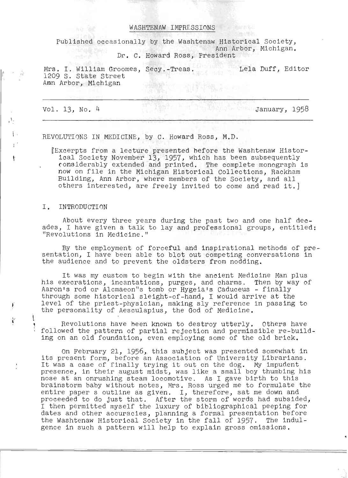#### WASHTENAW IMPRESSIONS

Published occasionally by the Washtenaw Historical Society, Ann Arbor, Michigan.

Dr. C. Howard Ross, President

Mrs. I. William Groomes, Secy.-Treas. 1209 Lela Duff, Editor<br>1209 S. State Street 1209 S. State Street<br>Amn Arbor, Michigan

Vol. 13, No.4

 $\mathbf{r}$ 

 $\mathbf{r}$ 

 $\mathfrak t$ 

 $(1)$ 

**January, 1958** 

REVOLUTIONS IN MEDICINE, by C. Howard Ross, M.D.

IExcerpts from a lecture presented before the Washtenaw Historical Society November 13, 1957, which has been subsequently considerably extended and printed. The complete monograph is now on file in the Michigan Historical Collections, Rackham Building, Ann Arbor, where members of the Society, and all others interested, are freely invited to come and read it.]

#### I. INTRODUCTION

About every three years during the past two and one half decades, I have given a talk to lay and professional groups, entitled: "Revolutions in Medicine."

By the employment of forceful and inspirational methods of preby the employment of forceful and inspirational methods of prescheation, I have been able to blot out competing converties.

It was my custom to begin with the ancient Medicine Man plus ho was my cassem to begin with the ancient mearcrite man pras-<br>his execrations, incantations, purges, and charms. Then by way of Aaron's rod or Alcmaeon"s tomb or Hygeia's caduceus - finally through some historical sleight-of-hand, I would arrive at the level of the priest-physician, making sly reference in passing to the personality of Aesculapius, the God of Medicine.

Revolutions have heen known to destroy utterly. Others have followed the pattern of partial rejection and permissible re-building on an old foundation, even employing some of the old brick.

On February 21, 1956, this subject was presented somewhat in its present form, before an Association of University Librarians. It was a case of finally trying it out on the dog. My impudent presence, in their august midst, was like a small boy thumbing his nose at an onrushing steam locomotive. As I gave birth to this brainstorm baby without notes, Mrs. Ross urged me to formulate the entire paper s outline as given. I, therefore, sat me down and proceeded to do just that. After the storm of words had subsided, I then permitted myself the luxury of bibliographical peeping for dates and other accuracies, planning a formal presentation before the Washtenaw Historical Society in the fall of 1957. The indulgence in such a pattern will help to explain gross omissions.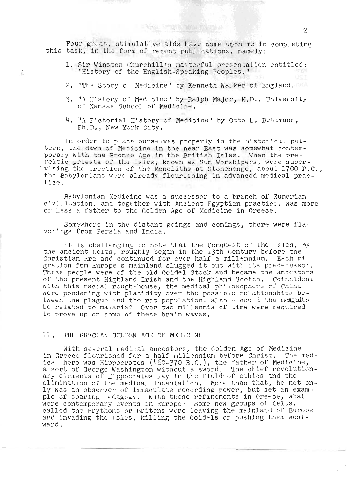Four great, stimulative aids have come upon me in completing this task, in the form of recent publications, namely:

THE POWER TO A TOUR SI

- 1. Sir Winston Churchill's masterful presentation entitled: "History of the English-Speaking Peoples."
- 2. "The Story of Medicine" by Kenneth Walker of England.
- 3. "A History of Medicine" by Ralph Major, M.D., University of Kansas School of Medicine.
- 4. "A Pictorial History of Medicine" by otto L. Bettmann, Ph.D., New York City.

In order to place ourselves properly in the historical pattern, the dawn of Medicine in the near East was somewhat contemporary with the Bronze Age in the British Isles. When the pre-Celtic priests of the Isles, known as Sun Worshipers, were super-<br>vising the erection of the Monoliths at Stonehenge, about 1700 F.C., the Babylonians were already flourishing in advanced medical practice.

Babylonian Medicine was a successor to a branch of Sumerian civilization, and together with Ancient Egyptian practice, was more or less a father to the Golden Age of Medicine in Greece.

Somewhere in the distant goings and comings, there were flavorings from Persia and India.

It is challenging to note that the Conquest of the Isles, by the ancient Celts, roughly began in the 13th Century before the Christian Era. and continued for over half a millennium. Each migration from Europe's mainland slugged it out with its predecessor. These people were of the old Goidel Stock and became the ancestors of the present Highland Irish and the Highland Scotch. Coincident of the present Highiand Irish and the Highiand Scoten, Coincide<br>With this racial rough-house, the medical philosophers of China rith this racial rough-house, the medical philosophers of china<br>were pondering with placidity over the possible relationships between the plague and the rat population; also - could the mesquito be related to malaria? Over two millennia of time were required to prove up on some of these brain waves.

II. THE GRECIAN GOLDEN AGE 0F MEDICINE

 $\tilde{\mathbb{P}}^{1,1}_{\text{eff}}$ 

With several medical ancestors, the Golden Age of Medicine in Greece flourished for a half millennium before Christ. The medical hero was Hippocrates (460-370 B.C.}, the father of Medicine, a sort of George Washington without a sword. The chief revolutionary elements of Hippocrates lay in the field· of ethics and the elimination of the medical incantation. More than that, he not only was an observer of immaculate recording power, but set an example of soaring pedagogy. With these refinements in Greece, what were contemporary events in Europe? Some new groups of Celts, called the Brythons or Britons were leaving the mainland of Europe and invading the Isles, killing the Goidels or pushing them westward.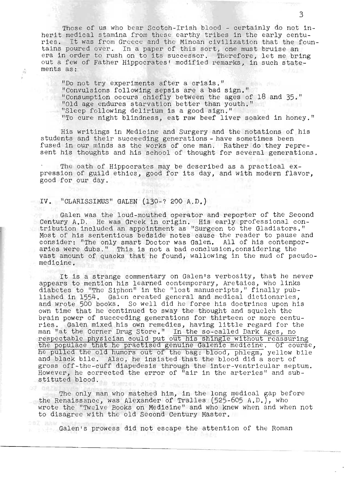Those of us who bear Scotch-Irish blood - certainly do not in-Those of us who bear Scotch-Irish blood - certainly do not in-<br>anit medical stamina from these earthy tribes in the early centuherit medical stamina from these earthy tribes in the early centuries. It was from Greece and the Minoan civilization that the fountains poured over. In a paper of this sort, one must bruise an era in order to rush on to its successor. Therefore, let me bring out a few of Father Hippocrates' modified remarks, in such state-<br>ments as:

"Do not try experiments after a crisis,lI % not try experiments after a crisis."<br>"Convulsions following sepsis are a bad sign." "Convulsions following sepsis are a bad sign." "Consumption occurs chiefly between the ages of  $18$  and  $35$ ." "Old age endures starvation better than youth." "Sleep following delirium is a good sign."<br>"To cure night blindness, eat raw beef liver soaked in honey."

His writings in Medicine and Surgery and the notations of his His writings in Medicine and Surgery and the notations of have a weight to the sometimes been students and their succeeding generations - have sometimes been fused in our minds as the works of one man. Rather do they repre-<br>sent his thoughts and his school of thought for several generations.

The oath of Hippocrates may be describe d as a practical expre oath of Hippocrates may be described as a practical ex-<br>ression of guild ethics, good for its day, and with modern flavor, pression of guild ethics, good for its day, and with modern flavor, good for our day.

**TAR MILL** 

# IV. "CLARISSIMUS" GALEN (130-? 200 A. D.)

 $\vec{n}$ 

Galen was the loud-mouthed operator and reporter of the Second Galen was the loud-mouthed operator and reporter of the Second<br>
antury A.D. He was Creek in enigin. His early professional conentury A.D. He was Greek in origin. His early professional con-<br>nibution included an appointment as "Surgeon to the Gladiators." ribution included an appointment as "Surgeon to the Gladiators."<br>25t of his sententious bedside notes cause the reader to pause and ost of his sententious bedside notes cause the reader to pause and<br>onsider: "The only smart Dector was Galen... All of his contempor onsider: "The only smart Doctor was Galen." All of his contempor<br>Alos were dubs," This is not a bad conclusion considering the aries were dubs." This is not a bad conclusion, considering the vast amount of quacks that he found, wallowing in the mud of pseudo-medicine.

It is a strange commentary on Galen's verbosity, that he never It is a strange commentary on Galen's verbosity, that he never<br>example to mention his learned contemporary, Arctaios, who links opears to mention his learned contemporary, Aretaios, who links<br>iabetes to "The Siphon" in the "leat manuscripts," finally publabetes to "The Siphon" in the "lost manuscripts," finally pub-<br>ished in 1554. Galen created general and medical dictionaries, lished in 1554. Galen created general and medical dictionaries, and wrote 500 books. So well did he force his doctrines upon his own time that he continued to sway the thought and squelch the brain power of succeeding generations for thirteen or more centuries. Galen mixed his own remedies, having little regard for the man "at the Corner Drug Store." In the so-called Dark Ages, no respectable physician could put out his shingle without reassuring the populace that he practised genuine Galenic medicine. Of course, he pulled the old humors out of the bag: blood, phlegm, yellow bile and black bile. Also, he insisted that the blood did a sort of gross off-the-cuff diapedesis through the inter-ventricular septum. However, he corrected the error of "air in the arteries" and sub-<br>stituted blood.

The only man who matched him, in the long medical ~ap before The only man who matched him, in the long medical gap before the Renaissance who alexander of Tralles (525-605 A.D.), who the Renaissance, was Alexander of Tralles  $(525-605 A.D.)$ , who wrote the "Twelve Books on Medicine" and who knew when and when not<br>to disagree with the old Second Century Master.

Galen's prowess did not escape the attention of the Roman

r---~-------------------------------------\_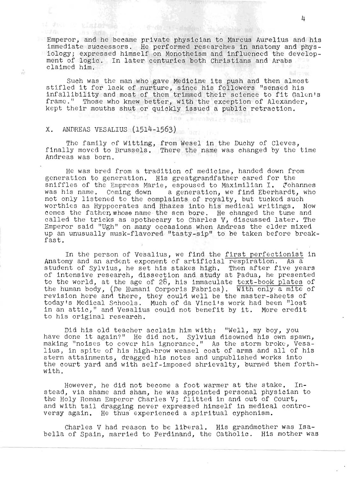Emperor, and he became private physician to Marcus Aurelius and his immediate successors. He performed researches in anatomy and physiology; expressed himself on Monotheism and influenced the development of logic. In later centuries both Christians and Arabs claimed him.

Such was the man who gave Medicine its push and then almost Such was the man who gave Medicine its push and then almost<br>tifled it for lack of nurture, since his followers "sensed his tifled it for lack of nurture, since his followers "sensed his<br>nfallibility and most of them trimmed their science to fit Galen's infallibility and most of them trimmed their science to fit Galen's frame." Those who knew better, with the exception of Alexander, kept their mouths shut or quickly issued a public retraction.

nient eilmdrumme, füht

### X. ANDREAS VESALIUS (1514-1563)

al des : platades :

-55

The family of Witting, from Wesel in the Duchy of Cleves, finally or witting, from wesel in the Duchy of Cleves,<br>inally moved to Brussels. There the name was changed by the time finally moved to Brussels. There the name was changed by the time Andreas was born.

He was bred from a tradition of medicine, handed down from generation to generation. His greatgrandfather cared for the eneration to generation. His greatgrandfather cared for the<br>niffles of the Empress Marie, espoused to Maximilian I. Tohannes nillies of the Empress Marie, espoused to Maximilian 1. Ponannes<br>as his name. Coming down a generation, we find Eberhardt, who was his name. Coming down a generation, we find Eberhardt, who not only listened to the complaints of royalty, but tucked such worthies as Hyppocrates and Rhazes into his medical writings. Now comes the father, whose name the scn bore. He changed the tune and cmes the father,whose name the sch bore. He changed the tune and<br>alled the tricks as apothecary to Charles V, discussed later. The alled the tricks as apothecary to Charles  $V_f$  discussed later. The<br>"mperor said "Ugh" on many occasions when Andreas the elder mixed mperor said "ugn" on many occasions when Andreas the elder mixed.<br>p an unusually musk-flavored "tasty-sip" to be taken before breakp an :<br>ast.

In the person of Vesalius, we find the first perfectionist in Anatomy and an ardent exponent of artificial respiration. As a student of Sylvius, he set his stakes high. Then after five years of intensive research, dissection and study at Padua, he presented to the world, at the age of  $28$ , his immaculate text-book plates of the human body, (De Humani Corporis Fabrica). With only' a mite of revision here and there, they could well be the master-sheets of evision here and there, they could well be the master-sheets of<br>odav's Medical Schools. Much of da Vinci's work had been "lost oday's Medical Schools. Much of da Vinci's work had been "lost<br>n an attic." and Vesalius could not benefit by it. More credit in an attic," and Vesalius could not benefit by it. More credit to his original research.

Did his old teacher acclaim him with: "Well, my boy, you have done it again?" He did not. Sylvius disowned his own spawn, making "noises to cover his ignorance." As the storm broke, Vesalius, in spite of his high-brow weasel coat of arms and all of his stern attainments, dragged his notes and unpublished works into the court yard and with self-imposed shrievalty, burned them forthwith.

However, he did not become a foot warmer at the stake. In-<br>stead, via shame and sham, he was appointed personal physician to the Holy Roman Emperor Charles V; flitted in and out of Court, and with tail dragging never expressed himself in medical controversy again. He thus' experienced a spiritual cyphonism.

Charles V had reason to be liberal. His grandmother was Isabella of Spain, married to Ferdinand, the Catholic. His mother was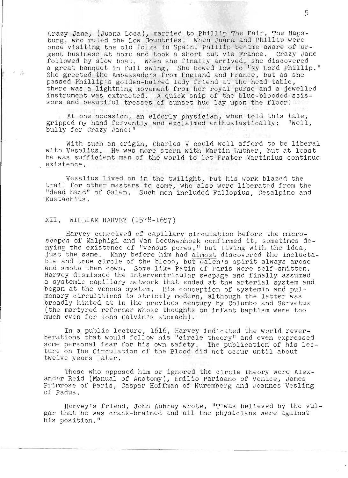Crazy Jane, (Juana Loca), married to Phillip The Fair, The Hapsburg, who ruled the Low Oountries. When Juana and Phillip were once visiting the old folks in Spain, Phillip bename aware of urgent business at home and took a short cut via France. Crazy Jane gent busines. at home and took a short cut via france. Crazy Jan<br>followed by slow boat. When she finally arrived, she discovered a great banquet in full swing. She bowed low to "My Lord Phillip." She greeted the Ambassadors from England and France, but as she passed Phillip's golden-haired lady friend at the head table,<br>there was a lightning movement from her royal purse and a jewelled incre was a fightning movement from her royal parse and a jeweffer.<br>Instrument was extracted. A quick snip of the blue-blooded scisinstrument was extracted. A quick snip of the blue-blooded :<br>sors and beautiful tresses of sunset hue lay upon the floor!

At one occasion, an elderly physician, when told this tale, gripped my hand fervently and exclaimed enthusiastically: "Well, bully for Crazy Janel"

With such an origin, Charles V could well afford to be liberal with Vesalius. He was more stern with Martin Luther, hut at least he was sufficient man of the world to let Frater Martinius continue existence.

Vesalius lived on in the twilight, but his work blazed the trail for other masters to come, who also were liberated from the "dead hand" of Galen. Such men included Fallopius, Cesalpino and Eustachius.

### XII. WILLIAM HARVEY (1578~1657)

ŵ

Harvey conceived of capillary circulation before the microscopes of Malphlgi and Van Leeuwenhoek confirmed it, sometimes denying the existence of "venous pores," but living with the idea, just the same. Many before him had almost discovered the ineluctable and true circle of the blood, but Galen's spirit always arose and smote them down. Some like Patin of Paris were self-smitten. Harvey dismissed the interventricular seepage and finally assumed a systemic capillary network that ended at the arterial system and began at the venous system. His conception of systemic and pulmonary circulations is strictly modern, although the latter was broadly hinted at in the previous century by Columbo and Servetus (the martyred reformer whose thoughts on infant baptism were too much even for John Calvin's stomach).

In a public lecture, 1616, Harvey indicated the world rever-In a public lecture, 1010, harvey indicated the world rever-<br>berations that would follow his "circle theory" and even expressed some personal fear for his one safety. The publication of his lec-<br>ture on The Circulation of the Blood did not occur until about ture on The Circulation of the Blood did not occur until about twelve years later.

Those who opposed him or ignored the circle theory were Alexander Reid (Manual of Anatomy), Emilio Parisano of Venice, James Primrose of Paris, Caspar Hoffman of Nuremberg and Joannes Vesling of Padua.

Harvey's friend, John Aubrey wrote, "T'was believed by the VUlgar that he was crack-brained and all the physicians were against his position."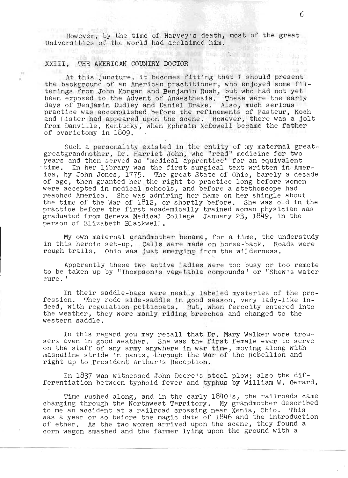However, by the time of Harvey's death, most of the great Universities of the world had acclaimed him.

# XXIII. THE AMERICAN COUNTRY DOCTOR

 $\dot{E}$ 

t this juncture, it becomes fitting that I should present At this juncture, it becomes fitting that I should present<br>the background of an American practitioner, who enjoyed some filterings from John Morgan and Benjamin Rush, but who had not yet erings from John morgan and Benjamin Rush, but who had not yet<br>een exposed to the Advent of Anaesthesia. These were the early een exposed to the Advent of Anaesthesia. These were the ear-<br>avs of Benjamin Dudley and Daniel Drake. Also, much serious ays of benjamin budley and baniel brake. Also, much serious<br>practice was accomplished before the refinements of Pasteur. Koch ractice was accomplisned before the refinements of rasteur, Koch<br>.nd Lister had appeared upon the scene. However, there was a jolt from Danville, Kentucky, when Ephraim McDowell became the father of ovariotomy in 1809.

uch a personality existed in the entity of my maternal greatsuch a personality existed in the entity of my maternal gre<br>reatgrandmother. Dr. Harriet John, who "read" medicine for two: years and then served as "medical apprentice" for an equivalent<br>time. In her library was the first surgical text written in America, by John Jones, 1775. The great State of Ohio, barely a decade ea, by John Johes, 1779. The great State of Ohio, barely a decar<br>if age, then granted her the right to practice long before women in age, then granted her the right to practice fong before wome.<br>Tere accepted in medical schools, and before a stethoscope had reached America. She was admiring her name on her shingle about the time of the War of 1812; or shortly before. She was old in the ine time of the war of 1812, or shortly before. She was old in the first academically trained woman physician was ractice before the first academically trained woman physician we<br>raduated from Geneva Medical College January 23, 1849, in the person of Elizabeth Blackwell.

My own maternal grandmother became, for a time, the understudy ny own maternal grandmother became, for a time, the understudy<br>n this heroic set-up. Calls were made on horse-back. Roads were n this heroic set-up. Calls were made on horse-back. Roa.<br>ough trails. Ohio was just emerging from the wilderness.

Apparently these two active ladies were too busy or too remote to be taken up by "Thompson's vegetable compounds" or "Shew's water cure."

In their saddle-bags were neatly labeled mysteries of the profession. They rode side-saddle in good season, very lady-like indeed, with regulation petticoats. But, when ferocity entered into the weather, they wore manly riding breeches and changed to the western saddle.

In this regard you may recall that Dr. Mary Walker wore trousers even in good weather. She was the first female ever to serve ers even in good weather. She was the first female ever to serve<br>In the staff of any army anywhere in war time, moving along with m the stall of any army anywhere in war time, moving along with<br>masculine stride in pants, through the War of the Rebellion and right up to President Arthur's Reception.

In 1837 was witnessed John Deere's steel plow; also the differentiation between typhoid fever and typhus by William W. Gerard.

. . .

Time rushed along, and in the early 1840's, the railroads came charging through the Northwest Territory. My grandmother described to me an accident at a railroad crossing near Xenia, Ohio. This was a year or so before the magic date of 1846 and the introduction of ether. As the two women arrived upon the scene, they found a corn wagon smashed and the farmer lying upon the ground with a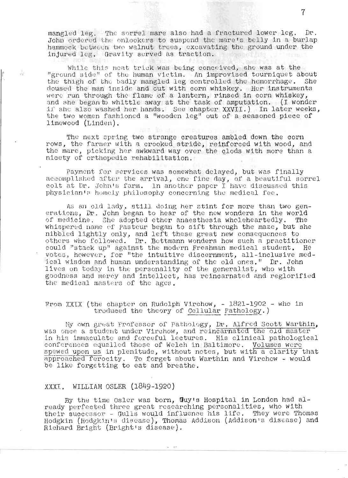mangled leg. The sorrel mare also had a fractured lower leg. Dr. John ordered the onlookers to suspend the mare's belly in a burlap hammock between two walnut trees, excavating the ground under the injured leg. Gravity served as traction.

While this neat trick was being conceived, she was at the "ground side" of the human victim. An improvised tourniquet about the thigh of the badly mangled leg controlled the hemorrhage. She dous ed the man inside and out with corn whiskey. Her instruments were run through the flame of a lantern, rinsed in oorn whiskey, and she began to whittle away at the task of amputation. (I wonder 11' she also washed her hands. See chapter XXVII.) In later weeks, the two women fashioned a "wooden leg" out of a seasoned piece of 1 imewood (Linden ).

The next spring two strange creatures ambled down the corn rows, the farmer with a crooked stride, reinforced with wood, and the mare, picking her awkward way over the clods with more than a nicety of orthopedic rehabilitation.

Payment for services was somewhat delayed, but was finally accomplished after the arrival, one fine day, of a beautiful sorrel colt at Dr. John's farm. In another paper I have discussed this physician's homely philosophy concerning the medical fee.

As an old lady, still doing her stint for more than two generations, Dr. John began to hear of the new wonders in the world of medicine. She adopted ether anaesthesia wholeheartedly. The whispered name of Pasteur began to sift through the maze, but she nibbled lightly only, and left these great new consequences to others who followed. Dr. Bettmann wonders how such a practitioner could "stack up" against the modern Freshman medical student. He votes, however, for "the intuitive discernment, all-inclusive medical wisdom and human understanding of the old ones." Dr. John lives on today in the personality of the generalist, who with goodness and merey and intellect, has reincarnated and reglorified the medical masters of the ages.

# From XXIX (the chapter on Rudolph Virchow,  $- 1821-1902$  - who in troduced the theory of Cellular Pathology.)

My own great Professor of Pathology, Dr. Alfred Scott Warthin, was once a student under Virchow, and reincarnated the old master in his immaculate and forceful lectures. His clinical pathological conferences equalled those of Welch in Baltimore. Volumes were spewed upon us in plenitude, without notes, but with a clarity that approached ferocity. To f.orget about Warthin and Virchow - would be like forgetting to eat and breathe.

# XXXI. WILLIAM OSLER (1849-1920)

 $\widetilde{\chi}^{(1)}_{\rm M}$ 

By the time Osler was born, Guy's Hospital in London had already perfected three great researching personalities, who with their successor - Gulls would influence his life. They were Thomas Hodgkin (Hodgkin's disease), Thomas Addison (Addison's disease) and Blchard Bright (Bright's disease).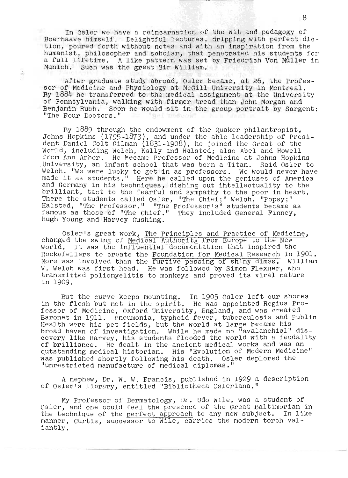In Osler we have a reincarnation of the wit and pedagogy of Boerhaave himself. Delightful lectures, dripping with perfect diction, poured forth without notes and with an inspiration from the humanist, philosopher and scholar, that penetrated his students for a full lifetime. A like pattern was set by Friedrich Von Muller in Munich. Such was the great Sir William.

After graduate study abroad, Osler became, at 26, the Professor of Medicine and Physiology at McGill Un1versity in Montreal. By 1884 he transferred to the medical assignment at the University of Pennsylvania, walking with firmer tread than John Morgan and Benjamin Rush. Scon he would sit in the group portrait by Sargent: "The Four Doctors."

 $\hat{n}$ 

By 1889 through the endowment of the Quaker philantropist, J., 1999 Unough the endowment of the Quaker philantropist,<br>Johns Hopkins (1795-1873), and under the able leadership of President Daniel Colt Gilman (1831-1908), he joined the Great of the World, including Welch, Kelly and Halsted; also Abel and Howell from Ann Arhor. He hecame Professor of Medicine at Johns Hopkins<br>University, an infant school that was born a Titan. Said Osler to Welch, "We were lucky to get in as professors. We Would never have velch, "We were lucky to get in as professors. We would never have<br>made it as students." Here he called upon the geniuses of America and Germany in his techniques, dishing out ihtel1ectuality to the brilliant, tact to the fearful and sympathy to the poor in heart. There the students called Osler, "The Chief;" Welch, "Popsy;" Halsted, "The Professor." "The Professor's" students became as famous as those of "The Chief." They included General Finney, Hugh Young and Harvey Cushing.

Osler's great work, The Principles and Practice of Medicine, changed the swing of Medical Authority from Europe to the New World. It was the influential documentation that inspired the Rockefellers to create the Foundation for Medical Research in 1901. Noticities to create the <u>Foundation for Heureal Research</u> in 1901.<br>More was involved than the furtive passing of shiny dimes. William More was involved than the furtive passing of shiny dimes. William<br>W. Welch was first head. He was followed by Simon Flexner, who transmitted poliomyelitis to monkeys and proved its viral nature in 1909.

But the curve keeps mounting. In 1905 Osler left our shores But the curve keeps mounting. In 1905 Osler left our shores<br>-n the flesh but not in the spirit. He was appointed Regius Professor of Medicine, Oxford University, England, and was created Baronet in 1911. Pneumonia, typhoid fever, tuberculosis and public Health were his pet fields, but the world at large became his rearth were his pet fieins, but the world at large became his<br>proad haven of investigation. While he made no "avalanchial" disproad haven of investigation, while he made no "avalahchiai" dis-<br>covery like Harvey, his students flooded the world with a feudality of brilliance. He dealt in the ancient medical works and was an outstanding medical historian. His "Evolution of Modern Medicine" was published shortly following his death. Osler deplored the "unrestricted manufacture of medical diplomas."

A nephew, Dr. W. W. Francis, published in 1929 a description of Osler's library, entitled "Bib11otheca Osleriana."

My Professor of Dermatology, Dr. Udo Wile, was a student of Osler, and one could feel the presence of the Great Baltimorian in the technique of the perfect approach to any new subject. In like manner, Curtis, successor to Wile, carries the modern torch valiantly,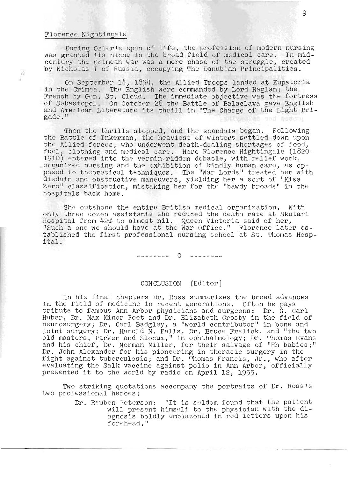# Florence Nightingale

 $\mathcal{V}^{\mathcal{L}}_{\mathcal{H}}$ 

During Osler's span of life, the profession of modern nursing was granted its niche in the broad field of medical care. In midcentury the Crimean War was a mere phase of *the* struggle, created by Nicholas I of Russia, occupying The Danubian Principalities.

On September 14, 1854, the Allied Troops landed at Eupatoria in the Crimea. The English were commanded by Lord Raglan; the French by Gen. St. Cloud. The immediate objective was the fortress of Sebastopol. On October 26 the Battle of Balaclava gave English and American Literature its thrill in "The Charge of the Light Brigade." detas ged servou

Then the thrills stopped, and the scandals began. Following the Battle of Inkerman, the heaviest of winters settled down upon the Allied forces, who underwent death-dealing shortages of food, fuel, clothing and medical care. Here Florence Nightingale (1820-1910) entered into the vermin-ridden debacle, with relief work, . organized nursing and the exhibition of kindly human care, as opprganized nursing and the exhibition of kindly numan care, as op-<br>posed to theoretical techniques. The "War Lords" treated her with osed to theoretical techniques. The "war Lords" treated her wi<br>lisdain and obstructive maneuvers, vielding her a sort of "Miss Zero" class ification, mistaking her for the "bawdy broads" in the hospitals back home.

She outshone the entire British medical organization. With only three dozen assistants she reduced the death rate at Skutari Hospital from 42% to almost nil. Queen Victoria said of her, "Such a one we should have at the War Office." Florence later established the first professional nursing school at St. Thomas Hospital.

> o -----------------

#### CONCLUSION [Editor]

In his final chapters Dr. Ross summarizes the broad advances in the field of medicine in recent generations. Often he pays tribute to famous Ann Arbor physicians and surgeons: Dr. G. Carl Huber, Dr. Max Minor peet and Dr. Elizabeth Crosby in the field of iuper, pr. max minor reet and pr. Elizabeth crospy in the field of<br>meurosurgery: Dr. Carl Badgley, a "world contributor" in bone and eurosurgery; Dr. Carl Badgley, a "world contributor" in bone and<br>oint surgery: Dr. Harold M. Falls. Dr. Bruce Fralick, and "the two olnt surgery; Dr. Harold M. Falls, Dr. Bruce Frallck, and "the two<br>Did masters. Parker and Slocum." in ophthalmology: Dr. Thomas Evans id masters, rarker and slocum," in ophthalmology; br. Thomas Evans<br>ind his chief. Dr. Norman Miller, for their salvage of "Rh babies:" Dr. John Alexander for his pioneering in thoracic surgery in the fight against tuberculosis; and Dr. Thomas Francis, Jr., who after evaluating the Salk vaccine against polio in Ann Arbor, officially presented it to the world by radio on April 12, 1955.

Two striking quotations accompany the portraits of Dr. Ross's two professional heroes:

> Dr. Reuben peterson: "It is seldom found that the patient will present himself to the physician with the diagnosis boldly emblazoned in red letters upon his forehead."